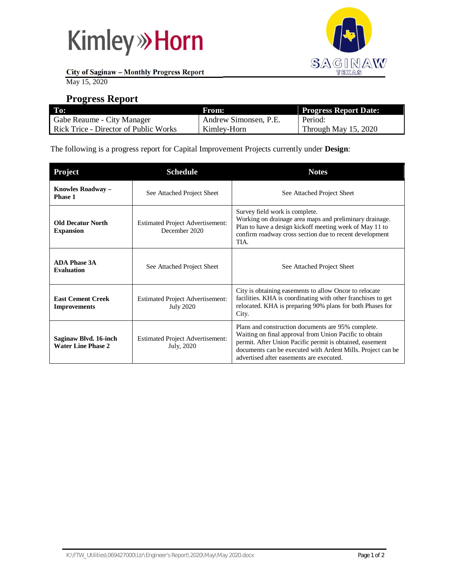



**City of Saginaw – Monthly Progress Report**

May 15, 2020

#### **Progress Report**

| To:                                   | From:                 | <b>Progress Report Date:</b> |
|---------------------------------------|-----------------------|------------------------------|
| Gabe Reaume - City Manager            | Andrew Simonsen, P.E. | Period:                      |
| Rick Trice - Director of Public Works | Kimley-Horn           | Through May 15, 2020         |

The following is a progress report for Capital Improvement Projects currently under **Design**:

| <b>Project</b>                                     | <b>Schedule</b>                                             | <b>Notes</b>                                                                                                                                                                                                                                                                        |
|----------------------------------------------------|-------------------------------------------------------------|-------------------------------------------------------------------------------------------------------------------------------------------------------------------------------------------------------------------------------------------------------------------------------------|
| Knowles Roadway -<br>Phase 1                       | See Attached Project Sheet                                  | See Attached Project Sheet                                                                                                                                                                                                                                                          |
| <b>Old Decatur North</b><br><b>Expansion</b>       | <b>Estimated Project Advertisement:</b><br>December 2020    | Survey field work is complete.<br>Working on drainage area maps and preliminary drainage.<br>Plan to have a design kickoff meeting week of May 11 to<br>confirm roadway cross section due to recent development<br>TIA.                                                             |
| <b>ADA Phase 3A</b><br><b>Evaluation</b>           | See Attached Project Sheet                                  | See Attached Project Sheet                                                                                                                                                                                                                                                          |
| <b>East Cement Creek</b><br><b>Improvements</b>    | <b>Estimated Project Advertisement:</b><br><b>July 2020</b> | City is obtaining easements to allow Oncor to relocate<br>facilities. KHA is coordinating with other franchises to get<br>relocated. KHA is preparing 90% plans for both Phases for<br>City.                                                                                        |
| Saginaw Blvd. 16-inch<br><b>Water Line Phase 2</b> | <b>Estimated Project Advertisement:</b><br>July, 2020       | Plans and construction documents are 95% complete.<br>Waiting on final approval from Union Pacific to obtain<br>permit. After Union Pacific permit is obtained, easement<br>documents can be executed with Ardent Mills. Project can be<br>advertised after easements are executed. |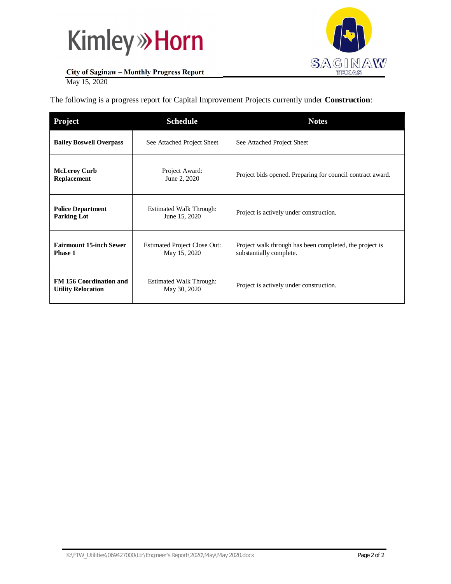# **Kimley» Horn**



#### **City of Saginaw – Monthly Progress Report**

May 15, 2020

The following is a progress report for Capital Improvement Projects currently under **Construction**:

| <b>Project</b>                                              | <b>Schedule</b>                                     | <b>Notes</b>                                                                       |
|-------------------------------------------------------------|-----------------------------------------------------|------------------------------------------------------------------------------------|
| <b>Bailey Boswell Overpass</b>                              | See Attached Project Sheet                          | See Attached Project Sheet                                                         |
| <b>McLeroy Curb</b><br>Replacement                          | Project Award:<br>June 2, 2020                      | Project bids opened. Preparing for council contract award.                         |
| <b>Police Department</b><br><b>Parking Lot</b>              | <b>Estimated Walk Through:</b><br>June 15, 2020     | Project is actively under construction.                                            |
| <b>Fairmount 15-inch Sewer</b><br>Phase 1                   | <b>Estimated Project Close Out:</b><br>May 15, 2020 | Project walk through has been completed, the project is<br>substantially complete. |
| <b>FM 156 Coordination and</b><br><b>Utility Relocation</b> | <b>Estimated Walk Through:</b><br>May 30, 2020      | Project is actively under construction.                                            |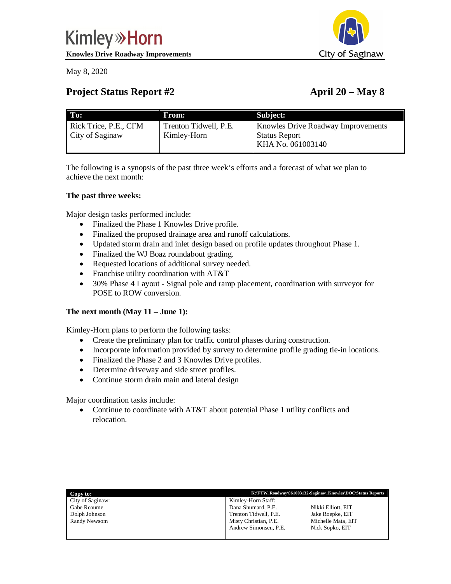May 8, 2020

# City of Saginaw

### **Project Status Report #2 April 20 – May 8**

| To:                                      | From:                                | Subject:                                                                        |
|------------------------------------------|--------------------------------------|---------------------------------------------------------------------------------|
| Rick Trice, P.E., CFM<br>City of Saginaw | Trenton Tidwell, P.E.<br>Kimley-Horn | Knowles Drive Roadway Improvements<br><b>Status Report</b><br>KHA No. 061003140 |

The following is a synopsis of the past three week's efforts and a forecast of what we plan to achieve the next month:

#### **The past three weeks:**

Major design tasks performed include:

- · Finalized the Phase 1 Knowles Drive profile.
- Finalized the proposed drainage area and runoff calculations.
- · Updated storm drain and inlet design based on profile updates throughout Phase 1.
- Finalized the WJ Boaz roundabout grading.
- · Requested locations of additional survey needed.
- Franchise utility coordination with AT&T
- · 30% Phase 4 Layout Signal pole and ramp placement, coordination with surveyor for POSE to ROW conversion.

#### **The next month (May 11 – June 1):**

Kimley-Horn plans to perform the following tasks:

- Create the preliminary plan for traffic control phases during construction.
- · Incorporate information provided by survey to determine profile grading tie-in locations.
- Finalized the Phase 2 and 3 Knowles Drive profiles.
- · Determine driveway and side street profiles.
- Continue storm drain main and lateral design

Major coordination tasks include:

• Continue to coordinate with AT&T about potential Phase 1 utility conflicts and relocation.

| Copy to:         |                       | K:\FTW Roadway\061003132-Saginaw Knowles\DOC\Status Reports |
|------------------|-----------------------|-------------------------------------------------------------|
| City of Saginaw: | Kimley-Horn Staff:    |                                                             |
| Gabe Reaume      | Dana Shumard, P.E.    | Nikki Elliott, EIT                                          |
| Dolph Johnson    | Trenton Tidwell, P.E. | Jake Roepke, EIT                                            |
| Randy Newsom     | Misty Christian, P.E. | Michelle Mata, EIT                                          |
|                  | Andrew Simonsen, P.E. | Nick Sopko, EIT                                             |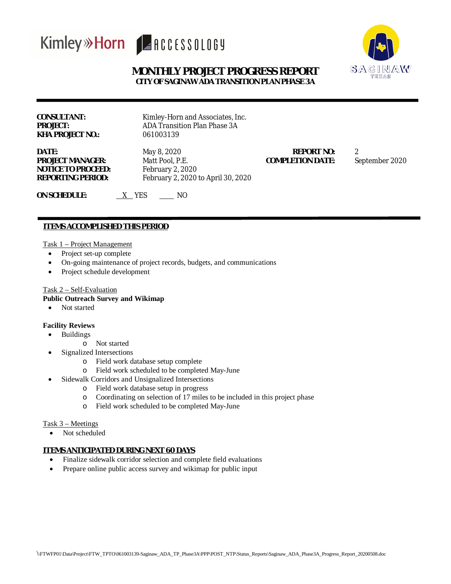## Kimley»Horn ARCCESSOLOGY



#### **MONTHLY PROJECT PROGRESS REPORT CITY OF SAGINAW ADA TRANSITION PLAN PHASE 3A**

| CONSULTANT:      |
|------------------|
| PROJECT:         |
| KHA PROJECT NO.: |

**NOTICE TO PROCEED:** February 2, 2020

Kimley-Horn and Associates, Inc. **ADA Transition Plan Phase 3A KHA PROJECT NO.:** 061003139

**DATE:** May 8, 2020 **REPORT NO:** 2 **PROJECT MANAGER:** Matt Pool, P.E. **COMPLETION DATE:** September 2020 **REPORTING PERIOD:** February 2, 2020 to April 30, 2020

**ON** SCHEDULE:  $X$  YES \_\_\_\_ NO

#### **ITEMS ACCOMPLISHED THIS PERIOD**

#### Task 1 – Project Management

- Project set-up complete
- · On-going maintenance of project records, budgets, and communications
- · Project schedule development

#### Task 2 – Self-Evaluation

#### **Public Outreach Survey and Wikimap**

• Not started

#### **Facility Reviews**

- · Buildings
	- o Not started
- Signalized Intersections
	- o Field work database setup complete
	- o Field work scheduled to be completed May-June
- · Sidewalk Corridors and Unsignalized Intersections
	- o Field work database setup in progress
	- o Coordinating on selection of 17 miles to be included in this project phase
	- o Field work scheduled to be completed May-June

#### Task 3 – Meetings

• Not scheduled

#### **ITEMS ANTICIPATED DURING NEXT 60 DAYS**

- Finalize sidewalk corridor selection and complete field evaluations
- Prepare online public access survey and wikimap for public input